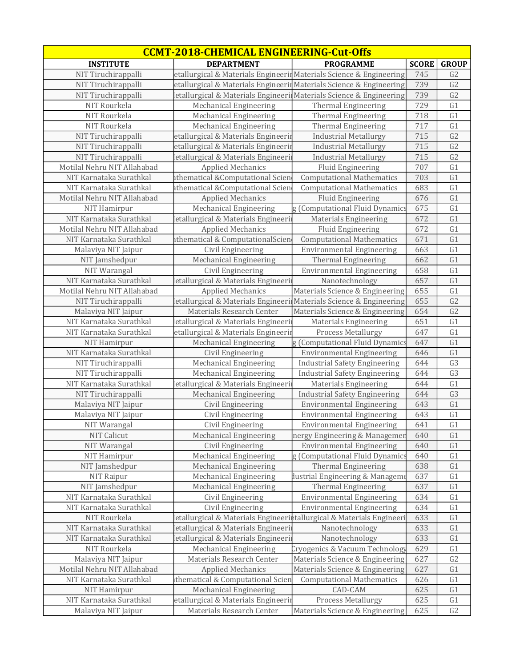| <b>CCMT-2018-CHEMICAL ENGINEERING-Cut-Offs</b> |                                                                      |                                      |              |                 |
|------------------------------------------------|----------------------------------------------------------------------|--------------------------------------|--------------|-----------------|
| <b>INSTITUTE</b>                               | <b>DEPARTMENT</b>                                                    | <b>PROGRAMME</b>                     | <b>SCORE</b> | <b>GROUP</b>    |
| NIT Tiruchirappalli                            | etallurgical & Materials Engineerin Materials Science & Engineering  |                                      | 745          | G <sub>2</sub>  |
| NIT Tiruchirappalli                            | etallurgical & Materials Engineerin Materials Science & Engineering  |                                      | 739          | G2              |
| NIT Tiruchirappalli                            | etallurgical & Materials Engineeri Materials Science & Engineering   |                                      | 739          | G2              |
| NIT Rourkela                                   | Mechanical Engineering                                               | Thermal Engineering                  | 729          | G1              |
| NIT Rourkela                                   | Mechanical Engineering                                               | <b>Thermal Engineering</b>           | 718          | G1              |
| NIT Rourkela                                   | Mechanical Engineering                                               | Thermal Engineering                  | 717          | G1              |
| NIT Tiruchirappalli                            | etallurgical & Materials Engineerii                                  | <b>Industrial Metallurgy</b>         | 715          | $\overline{G2}$ |
| NIT Tiruchirappalli                            | etallurgical & Materials Engineerir                                  | <b>Industrial Metallurgy</b>         | 715          | G <sub>2</sub>  |
| NIT Tiruchirappalli                            | etallurgical & Materials Engineeri                                   | <b>Industrial Metallurgy</b>         | 715          | G <sub>2</sub>  |
| Motilal Nehru NIT Allahabad                    | <b>Applied Mechanics</b>                                             | Fluid Engineering                    | 707          | G1              |
| NIT Karnataka Surathkal                        | athematical & Computational Scien                                    | <b>Computational Mathematics</b>     | 703          | G1              |
| NIT Karnataka Surathkal                        | athematical & Computational Scien                                    | <b>Computational Mathematics</b>     | 683          | G1              |
| Motilal Nehru NIT Allahabad                    | <b>Applied Mechanics</b>                                             | <b>Fluid Engineering</b>             | 676          | G1              |
| NIT Hamirpur                                   | <b>Mechanical Engineering</b>                                        | g (Computational Fluid Dynamics      | 675          | G1              |
| NIT Karnataka Surathkal                        | etallurgical & Materials Engineeri                                   | <b>Materials Engineering</b>         | 672          | G1              |
| Motilal Nehru NIT Allahabad                    | <b>Applied Mechanics</b>                                             | Fluid Engineering                    | 672          | G1              |
| NIT Karnataka Surathkal                        | athematical & ComputationalScien                                     | <b>Computational Mathematics</b>     | 671          | G1              |
| Malaviya NIT Jaipur                            | Civil Engineering                                                    | <b>Environmental Engineering</b>     | 663          | G1              |
| NIT Jamshedpur                                 | Mechanical Engineering                                               | Thermal Engineering                  | 662          | G1              |
| NIT Warangal                                   | Civil Engineering                                                    | <b>Environmental Engineering</b>     | 658          | G <sub>1</sub>  |
| NIT Karnataka Surathkal                        | etallurgical & Materials Engineeri                                   | Nanotechnology                       | 657          | G1              |
| Motilal Nehru NIT Allahabad                    | <b>Applied Mechanics</b>                                             | Materials Science & Engineering      | 655          | G1              |
| NIT Tiruchirappalli                            | etallurgical & Materials Engineerii Materials Science & Engineering  |                                      | 655          | G <sub>2</sub>  |
| Malaviya NIT Jaipur                            | Materials Research Center                                            | Materials Science & Engineering      | 654          | G <sub>2</sub>  |
| NIT Karnataka Surathkal                        | etallurgical & Materials Engineerii                                  | <b>Materials Engineering</b>         | 651          | G1              |
| NIT Karnataka Surathkal                        | etallurgical & Materials Engineerin                                  | Process Metallurgy                   | 647          | G1              |
| NIT Hamirpur                                   | <b>Mechanical Engineering</b>                                        | g (Computational Fluid Dynamics      | 647          | G1              |
| NIT Karnataka Surathkal                        | Civil Engineering                                                    | <b>Environmental Engineering</b>     | 646          | G1              |
| NIT Tiruchirappalli                            | <b>Mechanical Engineering</b>                                        | <b>Industrial Safety Engineering</b> | 644          | G3              |
| NIT Tiruchirappalli                            | <b>Mechanical Engineering</b>                                        | <b>Industrial Safety Engineering</b> | 644          | G <sub>3</sub>  |
| NIT Karnataka Surathkal                        | etallurgical & Materials Engineeri                                   | Materials Engineering                | 644          | G1              |
| NIT Tiruchirappalli                            | <b>Mechanical Engineering</b>                                        | <b>Industrial Safety Engineering</b> | 644          | G <sub>3</sub>  |
| Malaviya NIT Jaipur                            | Civil Engineering                                                    | <b>Environmental Engineering</b>     | 643          | G1              |
| Malaviya NIT Jaipur                            | Civil Engineering                                                    | <b>Environmental Engineering</b>     | 643          | G1              |
| NIT Warangal                                   | Civil Engineering                                                    | <b>Environmental Engineering</b>     | 641          | G1              |
| NIT Calicut                                    | Mechanical Engineering                                               | nergy Engineering & Managemer        | 640          | G1              |
| NIT Warangal                                   | Civil Engineering                                                    | <b>Environmental Engineering</b>     | 640          | G1              |
| NIT Hamirpur                                   | Mechanical Engineering                                               | g (Computational Fluid Dynamics      | 640          | G1              |
| NIT Jamshedpur                                 | Mechanical Engineering                                               | <b>Thermal Engineering</b>           | 638          | G1              |
| NIT Raipur                                     | Mechanical Engineering                                               | dustrial Engineering & Manageme      | 637          | G1              |
| NIT Jamshedpur                                 | Mechanical Engineering                                               | Thermal Engineering                  | 637          | G1              |
| NIT Karnataka Surathkal                        | Civil Engineering                                                    | <b>Environmental Engineering</b>     | 634          | G1              |
| NIT Karnataka Surathkal                        | Civil Engineering                                                    | <b>Environmental Engineering</b>     | 634          | G1              |
| NIT Rourkela                                   | etallurgical & Materials Engineeriptallurgical & Materials Engineeri |                                      | 633          | G1              |
| NIT Karnataka Surathkal                        | etallurgical & Materials Engineeri                                   | Nanotechnology                       | 633          | G1              |
| NIT Karnataka Surathkal                        | etallurgical & Materials Engineeri                                   | Nanotechnology                       | 633          | G1              |
| NIT Rourkela                                   | Mechanical Engineering                                               | Cryogenics & Vacuum Technology       | 629          | G1              |
| Malaviya NIT Jaipur                            | Materials Research Center                                            | Materials Science & Engineering      | 627          | G2              |
| Motilal Nehru NIT Allahabad                    | <b>Applied Mechanics</b>                                             | Materials Science & Engineering      | 627          | G1              |
| NIT Karnataka Surathkal                        | thematical & Computational Scien                                     | <b>Computational Mathematics</b>     | 626          | G1              |
| NIT Hamirpur                                   | Mechanical Engineering                                               | CAD-CAM                              | 625          | G1              |
| NIT Karnataka Surathkal                        | etallurgical & Materials Engineerin                                  | Process Metallurgy                   | 625          | G1              |
| Malaviya NIT Jaipur                            | Materials Research Center                                            | Materials Science & Engineering      | 625          | G2              |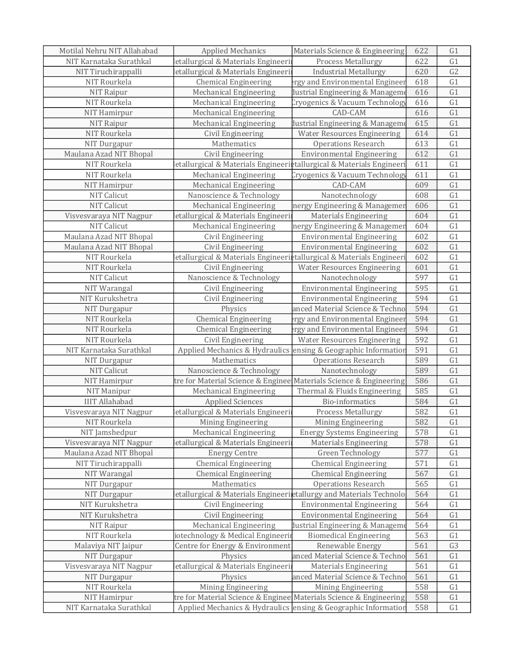| Motilal Nehru NIT Allahabad | <b>Applied Mechanics</b>                                                       | Materials Science & Engineering    | 622 | G1             |
|-----------------------------|--------------------------------------------------------------------------------|------------------------------------|-----|----------------|
| NIT Karnataka Surathkal     | etallurgical & Materials Engineeri                                             | Process Metallurgy                 | 622 | G1             |
| NIT Tiruchirappalli         | letallurgical & Materials Engineeri                                            | <b>Industrial Metallurgy</b>       | 620 | G <sub>2</sub> |
| NIT Rourkela                | <b>Chemical Engineering</b>                                                    | rgy and Environmental Engineer     | 618 | G1             |
| NIT Raipur                  | Mechanical Engineering                                                         | lustrial Engineering & Manageme    | 616 | G1             |
| NIT Rourkela                | Mechanical Engineering                                                         | Cryogenics & Vacuum Technology     | 616 | G1             |
| NIT Hamirpur                | Mechanical Engineering                                                         | CAD-CAM                            | 616 | G1             |
| NIT Raipur                  | Mechanical Engineering                                                         | lustrial Engineering & Manageme    | 615 | G1             |
| NIT Rourkela                | Civil Engineering                                                              | <b>Water Resources Engineering</b> | 614 | G1             |
| NIT Durgapur                | Mathematics                                                                    | <b>Operations Research</b>         | 613 | G1             |
| Maulana Azad NIT Bhopal     | Civil Engineering                                                              | <b>Environmental Engineering</b>   | 612 | G1             |
| NIT Rourkela                | letallurgical & Materials Engineeri <b>e</b> tallurgical & Materials Engineeri |                                    | 611 | G1             |
| NIT Rourkela                | Mechanical Engineering                                                         | Cryogenics & Vacuum Technology     | 611 | G1             |
| NIT Hamirpur                | Mechanical Engineering                                                         | CAD-CAM                            | 609 | G1             |
| <b>NIT Calicut</b>          | Nanoscience & Technology                                                       | Nanotechnology                     | 608 | G1             |
| <b>NIT Calicut</b>          | Mechanical Engineering                                                         | nergy Engineering & Managemer      | 606 | G1             |
| Visvesvaraya NIT Nagpur     | etallurgical & Materials Engineeri                                             | <b>Materials Engineering</b>       | 604 | G1             |
| <b>NIT Calicut</b>          | Mechanical Engineering                                                         | nergy Engineering & Managemer      | 604 | G1             |
| Maulana Azad NIT Bhopal     | Civil Engineering                                                              | <b>Environmental Engineering</b>   | 602 | G1             |
| Maulana Azad NIT Bhopal     | Civil Engineering                                                              | <b>Environmental Engineering</b>   | 602 | G1             |
| NIT Rourkela                | letallurgical & Materials Engineeri <b>e</b> tallurgical & Materials Engineeri |                                    | 602 | G1             |
| NIT Rourkela                | Civil Engineering                                                              | <b>Water Resources Engineering</b> | 601 | G1             |
| <b>NIT Calicut</b>          | Nanoscience & Technology                                                       | Nanotechnology                     | 597 | G1             |
| NIT Warangal                | Civil Engineering                                                              | <b>Environmental Engineering</b>   | 595 | G1             |
| NIT Kurukshetra             | Civil Engineering                                                              | <b>Environmental Engineering</b>   | 594 | G1             |
| NIT Durgapur                | Physics                                                                        | anced Material Science & Techno    | 594 | G1             |
| NIT Rourkela                | <b>Chemical Engineering</b>                                                    | rgy and Environmental Engineer     | 594 | G1             |
| NIT Rourkela                | <b>Chemical Engineering</b>                                                    | rgy and Environmental Engineer     | 594 | G1             |
| NIT Rourkela                | Civil Engineering                                                              | <b>Water Resources Engineering</b> | 592 | G1             |
| NIT Karnataka Surathkal     | Applied Mechanics & Hydraulics ensing & Geographic Information                 |                                    | 591 | G1             |
| NIT Durgapur                | Mathematics                                                                    | <b>Operations Research</b>         | 589 | G1             |
| <b>NIT Calicut</b>          | Nanoscience & Technology                                                       | Nanotechnology                     | 589 | G1             |
| NIT Hamirpur                | tre for Material Science & Enginee Materials Science & Engineering             |                                    | 586 | G1             |
| NIT Manipur                 | Mechanical Engineering                                                         | Thermal & Fluids Engineering       | 585 | G1             |
| <b>IIIT Allahabad</b>       | <b>Applied Sciences</b>                                                        | Bio-informatics                    | 584 | G1             |
| Visvesvaraya NIT Nagpur     | letallurgical & Materials Engineeri                                            | Process Metallurgy                 | 582 | G1             |
| NIT Rourkela                | Mining Engineering                                                             | Mining Engineering                 | 582 | G1             |
| NIT Jamshedpur              | Mechanical Engineering                                                         | <b>Energy Systems Engineering</b>  | 578 | G <sub>1</sub> |
| Visvesvaraya NIT Nagpur     | letallurgical & Materials Engineeri                                            | <b>Materials Engineering</b>       | 578 | G1             |
| Maulana Azad NIT Bhopal     | <b>Energy Centre</b>                                                           | Green Technology                   | 577 | G1             |
| NIT Tiruchirappalli         | <b>Chemical Engineering</b>                                                    | <b>Chemical Engineering</b>        | 571 | G1             |
| NIT Warangal                | <b>Chemical Engineering</b>                                                    | <b>Chemical Engineering</b>        | 567 | G1             |
| NIT Durgapur                | Mathematics                                                                    | <b>Operations Research</b>         | 565 | G1             |
| NIT Durgapur                | etallurgical & Materials Engineeriletallurgy and Materials Technolo            |                                    | 564 | G1             |
| NIT Kurukshetra             | Civil Engineering                                                              | <b>Environmental Engineering</b>   | 564 | G1             |
| NIT Kurukshetra             | Civil Engineering                                                              | <b>Environmental Engineering</b>   | 564 | G1             |
| NIT Raipur                  | Mechanical Engineering                                                         | lustrial Engineering & Manageme    | 564 | G1             |
| NIT Rourkela                | iotechnology & Medical Engineerii                                              | <b>Biomedical Engineering</b>      | 563 | G1             |
| Malaviya NIT Jaipur         | Centre for Energy & Environment                                                | Renewable Energy                   | 561 | G <sub>3</sub> |
| NIT Durgapur                | Physics                                                                        | anced Material Science & Techno    | 561 | G <sub>1</sub> |
| Visvesvaraya NIT Nagpur     | letallurgical & Materials Engineerii                                           | <b>Materials Engineering</b>       | 561 | G1             |
| NIT Durgapur                | Physics                                                                        | anced Material Science & Techno    | 561 | G1             |
| NIT Rourkela                | Mining Engineering                                                             | Mining Engineering                 | 558 | G1             |
| NIT Hamirpur                | tre for Material Science & Enginee Materials Science & Engineering             |                                    | 558 | G1             |
| NIT Karnataka Surathkal     | Applied Mechanics & Hydraulics lensing & Geographic Information                |                                    | 558 | G1             |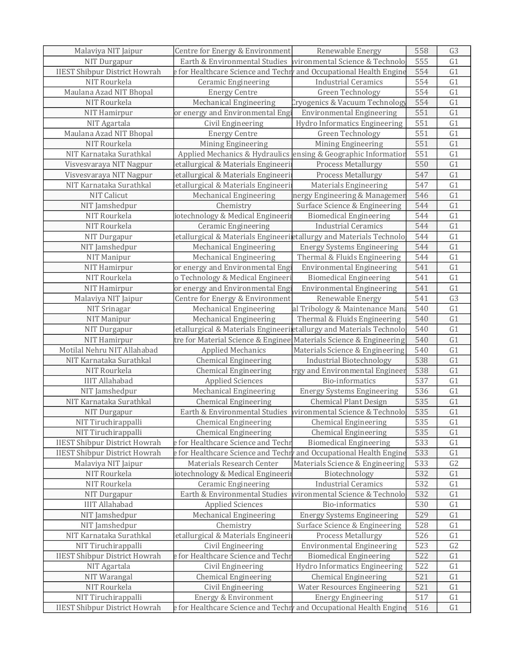| Malaviya NIT Jaipur                  | Centre for Energy & Environment                                                     | Renewable Energy                   | 558 | G <sub>3</sub> |
|--------------------------------------|-------------------------------------------------------------------------------------|------------------------------------|-----|----------------|
| NIT Durgapur                         | Earth & Environmental Studies                                                       | ivironmental Science & Technolo    | 555 | G1             |
| <b>IIEST Shibpur District Howrah</b> | e for Healthcare Science and Techry and Occupational Health Engine                  |                                    | 554 | G1             |
| NIT Rourkela                         | <b>Ceramic Engineering</b>                                                          | <b>Industrial Ceramics</b>         | 554 | G1             |
| Maulana Azad NIT Bhopal              | <b>Energy Centre</b>                                                                | Green Technology                   | 554 | G1             |
| NIT Rourkela                         | Mechanical Engineering                                                              | Cryogenics & Vacuum Technology     | 554 | G1             |
| NIT Hamirpur                         | or energy and Environmental Engi                                                    | <b>Environmental Engineering</b>   | 551 | G1             |
| NIT Agartala                         | Civil Engineering                                                                   | Hydro Informatics Engineering      | 551 | G1             |
| Maulana Azad NIT Bhopal              | <b>Energy Centre</b>                                                                | Green Technology                   | 551 | G1             |
| NIT Rourkela                         | Mining Engineering                                                                  | Mining Engineering                 | 551 | G1             |
| NIT Karnataka Surathkal              | Applied Mechanics & Hydraulics ensing & Geographic Information                      |                                    | 551 | G1             |
| Visvesvaraya NIT Nagpur              | etallurgical & Materials Engineeri                                                  | <b>Process Metallurgy</b>          | 550 | G1             |
| Visvesvaraya NIT Nagpur              | letallurgical & Materials Engineerii                                                | Process Metallurgy                 | 547 | G1             |
| NIT Karnataka Surathkal              | letallurgical & Materials Engineeri                                                 | Materials Engineering              | 547 | G1             |
| NIT Calicut                          | <b>Mechanical Engineering</b>                                                       | nergy Engineering & Managemer      | 546 | G1             |
| NIT Jamshedpur                       | Chemistry                                                                           | Surface Science & Engineering      | 544 | G1             |
| NIT Rourkela                         | iotechnology & Medical Engineerii                                                   | <b>Biomedical Engineering</b>      | 544 | G1             |
| NIT Rourkela                         | <b>Ceramic Engineering</b>                                                          | <b>Industrial Ceramics</b>         | 544 | G1             |
| NIT Durgapur                         | etallurgical & Materials Engineeriletallurgy and Materials Technolo                 |                                    | 544 | G1             |
| NIT Jamshedpur                       | <b>Mechanical Engineering</b>                                                       | <b>Energy Systems Engineering</b>  | 544 | G1             |
| <b>NIT Manipur</b>                   | Mechanical Engineering                                                              | Thermal & Fluids Engineering       | 544 | G1             |
| NIT Hamirpur                         | or energy and Environmental Engi                                                    | <b>Environmental Engineering</b>   | 541 | G1             |
| NIT Rourkela                         | o Technology & Medical Engineeri                                                    | <b>Biomedical Engineering</b>      | 541 | G1             |
| NIT Hamirpur                         | or energy and Environmental Engi                                                    | <b>Environmental Engineering</b>   | 541 | G1             |
| Malaviya NIT Jaipur                  | Centre for Energy & Environment                                                     | Renewable Energy                   | 541 | G <sub>3</sub> |
| NIT Srinagar                         | <b>Mechanical Engineering</b>                                                       | al Tribology & Maintenance Mana    | 540 | G1             |
| NIT Manipur                          | Mechanical Engineering                                                              | Thermal & Fluids Engineering       | 540 | G1             |
| NIT Durgapur                         | etallurgical & Materials Engineerietallurgy and Materials Technolo                  |                                    | 540 | G1             |
| NIT Hamirpur                         | tre for Material Science & Enginee Materials Science & Engineering                  |                                    | 540 | G1             |
| Motilal Nehru NIT Allahabad          | <b>Applied Mechanics</b>                                                            | Materials Science & Engineering    | 540 | G1             |
| NIT Karnataka Surathkal              | <b>Chemical Engineering</b>                                                         | <b>Industrial Biotechnology</b>    | 538 | G1             |
| NIT Rourkela                         | <b>Chemical Engineering</b>                                                         | rgy and Environmental Engineer     | 538 | G1             |
| <b>IIIT Allahabad</b>                | <b>Applied Sciences</b>                                                             | Bio-informatics                    | 537 | G1             |
| NIT Jamshedpur                       | Mechanical Engineering                                                              | <b>Energy Systems Engineering</b>  | 536 | G1             |
| NIT Karnataka Surathkal              | <b>Chemical Engineering</b>                                                         | <b>Chemical Plant Design</b>       | 535 | G1             |
| NIT Durgapur                         | Earth & Environmental Studies                                                       | vironmental Science & Technolo     | 535 | G1             |
| NIT Tiruchirappalli                  | <b>Chemical Engineering</b>                                                         | <b>Chemical Engineering</b>        | 535 | G1             |
| NIT Tiruchirappalli                  | <b>Chemical Engineering</b>                                                         | <b>Chemical Engineering</b>        | 535 | G1             |
| <b>IIEST Shibpur District Howrah</b> | e for Healthcare Science and Techr                                                  | <b>Biomedical Engineering</b>      | 533 | G1             |
| <b>IIEST Shibpur District Howrah</b> | $\mathsf e$ for Healthcare Science and Techr $\flat$ and Occupational Health Engine |                                    | 533 | G1             |
| Malaviya NIT Jaipur                  | Materials Research Center                                                           | Materials Science & Engineering    | 533 | G2             |
| NIT Rourkela                         | iotechnology & Medical Engineerii                                                   | Biotechnology                      | 532 | G1             |
| NIT Rourkela                         | <b>Ceramic Engineering</b>                                                          | <b>Industrial Ceramics</b>         | 532 | G1             |
| NIT Durgapur                         | Earth & Environmental Studies                                                       | vironmental Science & Technolo     | 532 | G1             |
| <b>IIIT Allahabad</b>                | <b>Applied Sciences</b>                                                             | Bio-informatics                    | 530 | G1             |
| NIT Jamshedpur                       | Mechanical Engineering                                                              | <b>Energy Systems Engineering</b>  | 529 | G1             |
| NIT Jamshedpur                       | Chemistry                                                                           | Surface Science & Engineering      | 528 | G1             |
| NIT Karnataka Surathkal              | etallurgical & Materials Engineeri                                                  | Process Metallurgy                 | 526 | G1             |
| NIT Tiruchirappalli                  | Civil Engineering                                                                   | <b>Environmental Engineering</b>   | 523 | G2             |
| <b>IIEST Shibpur District Howrah</b> | e for Healthcare Science and Techr                                                  | <b>Biomedical Engineering</b>      | 522 | G1             |
| NIT Agartala                         | Civil Engineering                                                                   | Hydro Informatics Engineering      | 522 | G1             |
| NIT Warangal                         | <b>Chemical Engineering</b>                                                         | <b>Chemical Engineering</b>        | 521 | G1             |
| NIT Rourkela                         | Civil Engineering                                                                   | <b>Water Resources Engineering</b> | 521 | G1             |
| NIT Tiruchirappalli                  | Energy & Environment                                                                | <b>Energy Engineering</b>          | 517 | G1             |
| <b>IIEST Shibpur District Howrah</b> | e for Healthcare Science and Techn and Occupational Health Engine                   |                                    | 516 | G1             |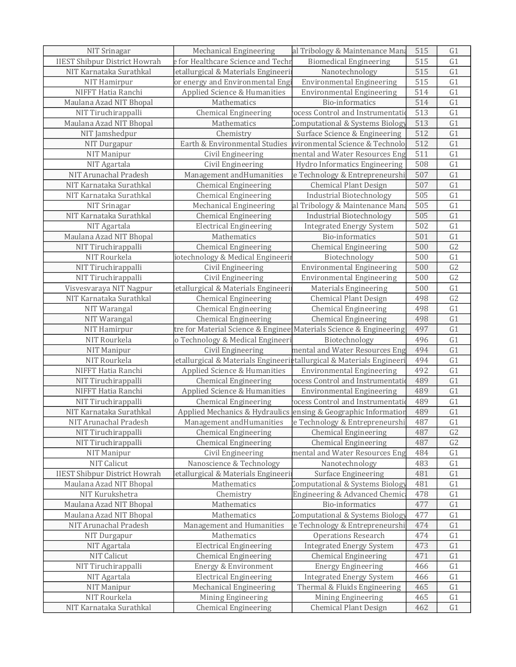| NIT Srinagar                         | <b>Mechanical Engineering</b>                                        | al Tribology & Maintenance Mana                                | 515 | G1              |
|--------------------------------------|----------------------------------------------------------------------|----------------------------------------------------------------|-----|-----------------|
| <b>IIEST Shibpur District Howrah</b> | e for Healthcare Science and Techr                                   | <b>Biomedical Engineering</b>                                  | 515 | G1              |
| NIT Karnataka Surathkal              | etallurgical & Materials Engineeri                                   | Nanotechnology                                                 | 515 | G1              |
| NIT Hamirpur                         | or energy and Environmental Eng                                      | <b>Environmental Engineering</b>                               | 515 | G1              |
| NIFFT Hatia Ranchi                   | Applied Science & Humanities                                         | <b>Environmental Engineering</b>                               | 514 | G1              |
| Maulana Azad NIT Bhopal              | Mathematics                                                          | <b>Bio-informatics</b>                                         | 514 | G1              |
| NIT Tiruchirappalli                  | <b>Chemical Engineering</b>                                          | ocess Control and Instrumentati                                | 513 | G1              |
| Maulana Azad NIT Bhopal              | Mathematics                                                          | Computational & Systems Biology                                | 513 | G1              |
| NIT Jamshedpur                       | Chemistry                                                            | Surface Science & Engineering                                  | 512 | G1              |
| NIT Durgapur                         | Earth & Environmental Studies                                        | vironmental Science & Technolo                                 | 512 | G1              |
| NIT Manipur                          | Civil Engineering                                                    | mental and Water Resources Eng                                 | 511 | G1              |
| NIT Agartala                         | Civil Engineering                                                    | Hydro Informatics Engineering                                  | 508 | G1              |
| NIT Arunachal Pradesh                | Management and Humanities                                            | e Technology & Entrepreneurshi                                 | 507 | G1              |
| NIT Karnataka Surathkal              | <b>Chemical Engineering</b>                                          | <b>Chemical Plant Design</b>                                   | 507 | G1              |
| NIT Karnataka Surathkal              | <b>Chemical Engineering</b>                                          | <b>Industrial Biotechnology</b>                                | 505 | G1              |
| NIT Srinagar                         | <b>Mechanical Engineering</b>                                        | al Tribology & Maintenance Man                                 | 505 | G1              |
| NIT Karnataka Surathkal              | <b>Chemical Engineering</b>                                          | <b>Industrial Biotechnology</b>                                | 505 | G1              |
| NIT Agartala                         | <b>Electrical Engineering</b>                                        | <b>Integrated Energy System</b>                                | 502 | G1              |
| Maulana Azad NIT Bhopal              | Mathematics                                                          | <b>Bio-informatics</b>                                         | 501 | G1              |
| NIT Tiruchirappalli                  | <b>Chemical Engineering</b>                                          | <b>Chemical Engineering</b>                                    | 500 | G2              |
| NIT Rourkela                         | iotechnology & Medical Engineerii                                    | Biotechnology                                                  | 500 | $\overline{G1}$ |
| NIT Tiruchirappalli                  | Civil Engineering                                                    | <b>Environmental Engineering</b>                               | 500 | G <sub>2</sub>  |
| NIT Tiruchirappalli                  | Civil Engineering                                                    | <b>Environmental Engineering</b>                               | 500 | G <sub>2</sub>  |
| Visvesvaraya NIT Nagpur              | etallurgical & Materials Engineeri                                   | <b>Materials Engineering</b>                                   | 500 | G1              |
| NIT Karnataka Surathkal              | <b>Chemical Engineering</b>                                          | <b>Chemical Plant Design</b>                                   | 498 | G <sub>2</sub>  |
| NIT Warangal                         | <b>Chemical Engineering</b>                                          | <b>Chemical Engineering</b>                                    | 498 | G1              |
| NIT Warangal                         | <b>Chemical Engineering</b>                                          | <b>Chemical Engineering</b>                                    | 498 | G1              |
| NIT Hamirpur                         | tre for Material Science & Enginee Materials Science & Engineering   |                                                                | 497 | G1              |
| NIT Rourkela                         | o Technology & Medical Engineeri                                     | Biotechnology                                                  | 496 | G1              |
| NIT Manipur                          | Civil Engineering                                                    | mental and Water Resources Eng                                 | 494 | G1              |
| NIT Rourkela                         | etallurgical & Materials Engineeriptallurgical & Materials Engineeri |                                                                | 494 | G1              |
| NIFFT Hatia Ranchi                   | Applied Science & Humanities                                         | <b>Environmental Engineering</b>                               | 492 | G1              |
| NIT Tiruchirappalli                  | <b>Chemical Engineering</b>                                          | ocess Control and Instrumentati                                | 489 | G1              |
| NIFFT Hatia Ranchi                   | Applied Science & Humanities                                         | <b>Environmental Engineering</b>                               | 489 | G1              |
| NIT Tiruchirappalli                  | <b>Chemical Engineering</b>                                          | ocess Control and Instrumentati                                | 489 | G1              |
| NIT Karnataka Surathkal              |                                                                      | Applied Mechanics & Hydraulics ensing & Geographic Information | 489 | G1              |
| NIT Arunachal Pradesh                |                                                                      | Management and Humanities   e Technology & Entrepreneurshi     | 487 | G1              |
| NIT Tiruchirappalli                  | <b>Chemical Engineering</b>                                          | <b>Chemical Engineering</b>                                    | 487 | G <sub>2</sub>  |
| NIT Tiruchirappalli                  | <b>Chemical Engineering</b>                                          | <b>Chemical Engineering</b>                                    | 487 | G2              |
| NIT Manipur                          | Civil Engineering                                                    | mental and Water Resources Eng                                 | 484 | G1              |
| NIT Calicut                          | Nanoscience & Technology                                             | Nanotechnology                                                 | 483 | G1              |
| <b>IIEST Shibpur District Howrah</b> | letallurgical & Materials Engineeri                                  | <b>Surface Engineering</b>                                     | 481 | G1              |
| Maulana Azad NIT Bhopal              | Mathematics                                                          | Computational & Systems Biology                                | 481 | G1              |
| NIT Kurukshetra                      | Chemistry                                                            | Engineering & Advanced Chemic                                  | 478 | G1              |
| Maulana Azad NIT Bhopal              | Mathematics                                                          | Bio-informatics                                                | 477 | G1              |
| Maulana Azad NIT Bhopal              | Mathematics                                                          | Computational & Systems Biology                                | 477 | G1              |
| NIT Arunachal Pradesh                | Management and Humanities                                            | e Technology & Entrepreneurshi                                 | 474 | G1              |
| NIT Durgapur                         | Mathematics                                                          | <b>Operations Research</b>                                     | 474 | G1              |
| NIT Agartala                         | <b>Electrical Engineering</b>                                        | <b>Integrated Energy System</b>                                | 473 | G1              |
| NIT Calicut                          | <b>Chemical Engineering</b>                                          | Chemical Engineering                                           | 471 | G1              |
| NIT Tiruchirappalli                  | Energy & Environment                                                 | <b>Energy Engineering</b>                                      | 466 | G1              |
| NIT Agartala                         | <b>Electrical Engineering</b>                                        | <b>Integrated Energy System</b>                                | 466 | G1              |
| NIT Manipur                          | Mechanical Engineering                                               | Thermal & Fluids Engineering                                   | 465 | G1              |
| NIT Rourkela                         | Mining Engineering                                                   | Mining Engineering                                             | 465 | G1              |
| NIT Karnataka Surathkal              | <b>Chemical Engineering</b>                                          | <b>Chemical Plant Design</b>                                   | 462 | G1              |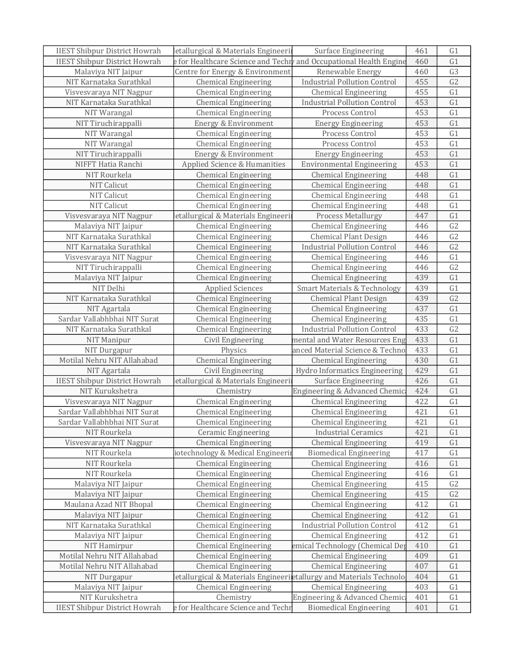| <b>IIEST Shibpur District Howrah</b> | letallurgical & Materials Engineeri                                 | Surface Engineering                     | 461 | G1             |
|--------------------------------------|---------------------------------------------------------------------|-----------------------------------------|-----|----------------|
| <b>IIEST Shibpur District Howrah</b> | e for Healthcare Science and Techry and Occupational Health Engine  |                                         | 460 | G1             |
| Malaviya NIT Jaipur                  | Centre for Energy & Environment                                     | Renewable Energy                        | 460 | G <sub>3</sub> |
| NIT Karnataka Surathkal              | <b>Chemical Engineering</b>                                         | <b>Industrial Pollution Control</b>     | 455 | G2             |
| Visvesvaraya NIT Nagpur              | <b>Chemical Engineering</b>                                         | <b>Chemical Engineering</b>             | 455 | G1             |
| NIT Karnataka Surathkal              | <b>Chemical Engineering</b>                                         | <b>Industrial Pollution Control</b>     | 453 | G1             |
| NIT Warangal                         | <b>Chemical Engineering</b>                                         | Process Control                         | 453 | G1             |
| NIT Tiruchirappalli                  | Energy & Environment                                                | <b>Energy Engineering</b>               | 453 | G1             |
| NIT Warangal                         | <b>Chemical Engineering</b>                                         | Process Control                         | 453 | G1             |
| NIT Warangal                         | <b>Chemical Engineering</b>                                         | Process Control                         | 453 | G1             |
| NIT Tiruchirappalli                  | Energy & Environment                                                | <b>Energy Engineering</b>               | 453 | G1             |
| NIFFT Hatia Ranchi                   | Applied Science & Humanities                                        | <b>Environmental Engineering</b>        | 453 | G1             |
| NIT Rourkela                         | <b>Chemical Engineering</b>                                         | <b>Chemical Engineering</b>             | 448 | G1             |
| NIT Calicut                          | <b>Chemical Engineering</b>                                         | <b>Chemical Engineering</b>             | 448 | G1             |
| NIT Calicut                          | <b>Chemical Engineering</b>                                         | <b>Chemical Engineering</b>             | 448 | G1             |
| <b>NIT Calicut</b>                   | <b>Chemical Engineering</b>                                         | <b>Chemical Engineering</b>             | 448 | G1             |
| Visvesvaraya NIT Nagpur              | etallurgical & Materials Engineeri                                  | <b>Process Metallurgy</b>               | 447 | G1             |
| Malaviya NIT Jaipur                  | <b>Chemical Engineering</b>                                         | <b>Chemical Engineering</b>             | 446 | G <sub>2</sub> |
| NIT Karnataka Surathkal              | <b>Chemical Engineering</b>                                         | <b>Chemical Plant Design</b>            | 446 | G2             |
| NIT Karnataka Surathkal              | <b>Chemical Engineering</b>                                         | <b>Industrial Pollution Control</b>     | 446 | G2             |
| Visvesvaraya NIT Nagpur              | <b>Chemical Engineering</b>                                         | <b>Chemical Engineering</b>             | 446 | G1             |
| NIT Tiruchirappalli                  | <b>Chemical Engineering</b>                                         | <b>Chemical Engineering</b>             | 446 | G <sub>2</sub> |
| Malaviya NIT Jaipur                  | <b>Chemical Engineering</b>                                         | <b>Chemical Engineering</b>             | 439 | G1             |
| NIT Delhi                            | <b>Applied Sciences</b>                                             | <b>Smart Materials &amp; Technology</b> | 439 | G1             |
| NIT Karnataka Surathkal              | <b>Chemical Engineering</b>                                         | <b>Chemical Plant Design</b>            | 439 | G2             |
| NIT Agartala                         | <b>Chemical Engineering</b>                                         | <b>Chemical Engineering</b>             | 437 | G1             |
| Sardar Vallabhbhai NIT Surat         | <b>Chemical Engineering</b>                                         | <b>Chemical Engineering</b>             | 435 | G1             |
| NIT Karnataka Surathkal              | <b>Chemical Engineering</b>                                         | <b>Industrial Pollution Control</b>     | 433 | G <sub>2</sub> |
| NIT Manipur                          | Civil Engineering                                                   | mental and Water Resources Eng          | 433 | G1             |
| NIT Durgapur                         | Physics                                                             | anced Material Science & Techno         | 433 | G1             |
| Motilal Nehru NIT Allahabad          | <b>Chemical Engineering</b>                                         | <b>Chemical Engineering</b>             | 430 | G1             |
| NIT Agartala                         | Civil Engineering                                                   | Hydro Informatics Engineering           | 429 | G1             |
| <b>IIEST Shibpur District Howrah</b> | letallurgical & Materials Engineeri                                 | Surface Engineering                     | 426 | G1             |
| NIT Kurukshetra                      | Chemistry                                                           | Engineering & Advanced Chemic           | 424 | G1             |
| Visvesvaraya NIT Nagpur              | <b>Chemical Engineering</b>                                         | <b>Chemical Engineering</b>             | 422 | G1             |
| Sardar Vallabhbhai NIT Surat         | <b>Chemical Engineering</b>                                         | <b>Chemical Engineering</b>             | 421 | G1             |
| Sardar Vallabhbhai NIT Surat         | <b>Chemical Engineering</b>                                         | <b>Chemical Engineering</b>             | 421 | G1             |
| NIT Rourkela                         | <b>Ceramic Engineering</b>                                          | <b>Industrial Ceramics</b>              | 421 | G1             |
| Visvesvaraya NIT Nagpur              | <b>Chemical Engineering</b>                                         | Chemical Engineering                    | 419 | G1             |
| NIT Rourkela                         | iotechnology & Medical Engineerii                                   | <b>Biomedical Engineering</b>           | 417 | G1             |
| NIT Rourkela                         | <b>Chemical Engineering</b>                                         | <b>Chemical Engineering</b>             | 416 | G1             |
| NIT Rourkela                         | <b>Chemical Engineering</b>                                         | <b>Chemical Engineering</b>             | 416 | G1             |
| Malaviya NIT Jaipur                  | <b>Chemical Engineering</b>                                         | <b>Chemical Engineering</b>             | 415 | G2             |
| Malaviya NIT Jaipur                  | <b>Chemical Engineering</b>                                         | <b>Chemical Engineering</b>             | 415 | G <sub>2</sub> |
| Maulana Azad NIT Bhopal              | <b>Chemical Engineering</b>                                         | <b>Chemical Engineering</b>             | 412 | G1             |
| Malaviya NIT Jaipur                  | <b>Chemical Engineering</b>                                         | <b>Chemical Engineering</b>             | 412 | G1             |
| NIT Karnataka Surathkal              | <b>Chemical Engineering</b>                                         | <b>Industrial Pollution Control</b>     | 412 | G1             |
| Malaviya NIT Jaipur                  | <b>Chemical Engineering</b>                                         | <b>Chemical Engineering</b>             | 412 | G1             |
| NIT Hamirpur                         | <b>Chemical Engineering</b>                                         | emical Technology (Chemical Dep         | 410 | G1             |
| Motilal Nehru NIT Allahabad          | <b>Chemical Engineering</b>                                         | <b>Chemical Engineering</b>             | 409 | G1             |
| Motilal Nehru NIT Allahabad          | <b>Chemical Engineering</b>                                         | <b>Chemical Engineering</b>             | 407 | G1             |
| NIT Durgapur                         | letallurgical & Materials Engineerietallurgy and Materials Technolo |                                         | 404 | G1             |
| Malaviya NIT Jaipur                  | <b>Chemical Engineering</b>                                         | <b>Chemical Engineering</b>             | 403 | G1             |
| NIT Kurukshetra                      | Chemistry                                                           | Engineering & Advanced Chemic           | 401 | G <sub>1</sub> |
| <b>IIEST Shibpur District Howrah</b> | e for Healthcare Science and Techr                                  | <b>Biomedical Engineering</b>           | 401 | G1             |